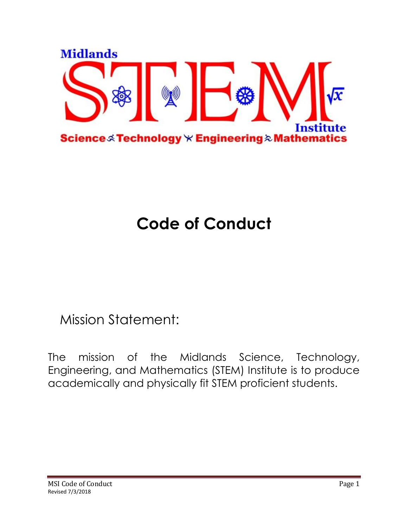

# **Code of Conduct**

Mission Statement:

The mission of the Midlands Science, Technology, Engineering, and Mathematics (STEM) Institute is to produce academically and physically fit STEM proficient students.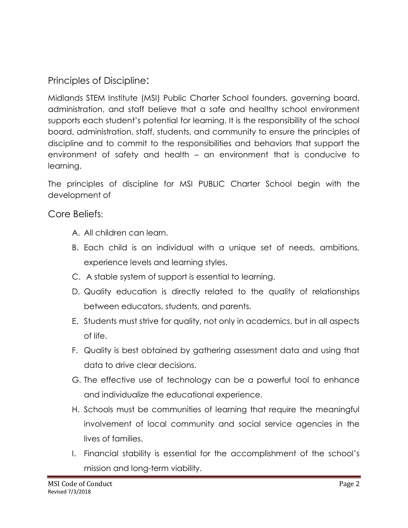Principles of Discipline:

Midlands STEM Institute (MSI) Public Charter School founders, governing board, administration, and staff believe that a safe and healthy school environment supports each student's potential for learning. It is the responsibility of the school board, administration, staff, students, and community to ensure the principles of discipline and to commit to the responsibilities and behaviors that support the environment of safety and health – an environment that is conducive to learning.

The principles of discipline for MSI PUBLIC Charter School begin with the development of

Core Beliefs:

- A. All children can learn.
- B. Each child is an individual with a unique set of needs, ambitions, experience levels and learning styles.
- C. A stable system of support is essential to learning.
- D. Quality education is directly related to the quality of relationships between educators, students, and parents.
- E. Students must strive for quality, not only in academics, but in all aspects of life.
- F. Quality is best obtained by gathering assessment data and using that data to drive clear decisions.
- G. The effective use of technology can be a powerful tool to enhance and individualize the educational experience.
- H. Schools must be communities of learning that require the meaningful involvement of local community and social service agencies in the lives of families.
- I. Financial stability is essential for the accomplishment of the school's mission and long-term viability.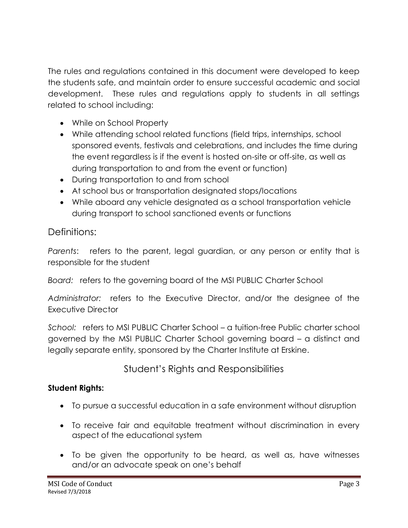The rules and regulations contained in this document were developed to keep the students safe, and maintain order to ensure successful academic and social development. These rules and regulations apply to students in all settings related to school including:

- While on School Property
- While attending school related functions (field trips, internships, school sponsored events, festivals and celebrations, and includes the time during the event regardless is if the event is hosted on-site or off-site, as well as during transportation to and from the event or function)
- During transportation to and from school
- At school bus or transportation designated stops/locations
- While aboard any vehicle designated as a school transportation vehicle during transport to school sanctioned events or functions

## Definitions:

*Parents*: refers to the parent, legal guardian, or any person or entity that is responsible for the student

*Board:* refers to the governing board of the MSI PUBLIC Charter School

*Administrator:* refers to the Executive Director, and/or the designee of the Executive Director

*School:* refers to MSI PUBLIC Charter School – a tuition-free Public charter school governed by the MSI PUBLIC Charter School governing board – a distinct and legally separate entity, sponsored by the Charter Institute at Erskine.

# Student's Rights and Responsibilities

## **Student Rights:**

- To pursue a successful education in a safe environment without disruption
- To receive fair and equitable treatment without discrimination in every aspect of the educational system
- To be given the opportunity to be heard, as well as, have witnesses and/or an advocate speak on one's behalf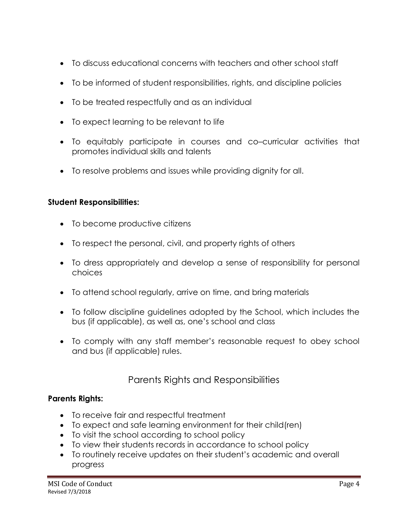- To discuss educational concerns with teachers and other school staff
- To be informed of student responsibilities, rights, and discipline policies
- To be treated respectfully and as an individual
- To expect learning to be relevant to life
- To equitably participate in courses and co–curricular activities that promotes individual skills and talents
- To resolve problems and issues while providing dignity for all.

#### **Student Responsibilities:**

- To become productive citizens
- To respect the personal, civil, and property rights of others
- To dress appropriately and develop a sense of responsibility for personal choices
- To attend school regularly, arrive on time, and bring materials
- To follow discipline guidelines adopted by the School, which includes the bus (if applicable), as well as, one's school and class
- To comply with any staff member's reasonable request to obey school and bus (if applicable) rules.

## Parents Rights and Responsibilities

#### **Parents Rights:**

- To receive fair and respectful treatment
- To expect and safe learning environment for their child(ren)
- To visit the school according to school policy
- To view their students records in accordance to school policy
- To routinely receive updates on their student's academic and overall progress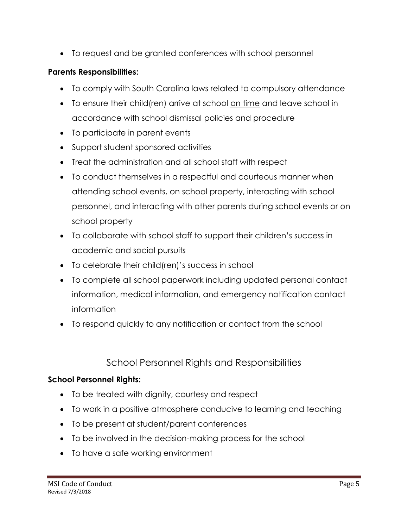To request and be granted conferences with school personnel

#### **Parents Responsibilities:**

- To comply with South Carolina laws related to compulsory attendance
- To ensure their child(ren) arrive at school on time and leave school in accordance with school dismissal policies and procedure
- To participate in parent events
- Support student sponsored activities
- Treat the administration and all school staff with respect
- To conduct themselves in a respectful and courteous manner when attending school events, on school property, interacting with school personnel, and interacting with other parents during school events or on school property
- To collaborate with school staff to support their children's success in academic and social pursuits
- To celebrate their child(ren)'s success in school
- To complete all school paperwork including updated personal contact information, medical information, and emergency notification contact information
- To respond quickly to any notification or contact from the school

# School Personnel Rights and Responsibilities

## **School Personnel Rights:**

- To be treated with dignity, courtesy and respect
- To work in a positive atmosphere conducive to learning and teaching
- To be present at student/parent conferences
- To be involved in the decision-making process for the school
- To have a safe working environment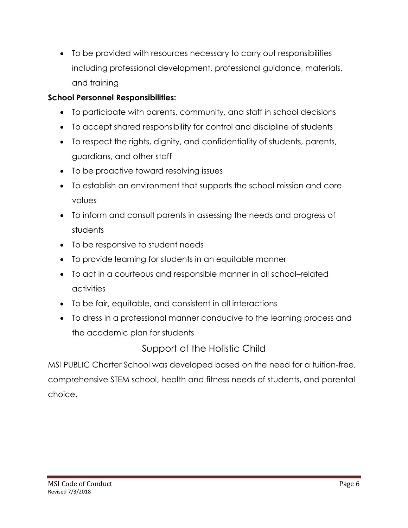To be provided with resources necessary to carry out responsibilities including professional development, professional guidance, materials, and training

## **School Personnel Responsibilities:**

- To participate with parents, community, and staff in school decisions
- To accept shared responsibility for control and discipline of students
- To respect the rights, dignity, and confidentiality of students, parents, guardians, and other staff
- To be proactive toward resolving issues
- To establish an environment that supports the school mission and core values
- To inform and consult parents in assessing the needs and progress of students
- To be responsive to student needs
- To provide learning for students in an equitable manner
- To act in a courteous and responsible manner in all school–related activities
- To be fair, equitable, and consistent in all interactions
- To dress in a professional manner conducive to the learning process and the academic plan for students

Support of the Holistic Child

MSI PUBLIC Charter School was developed based on the need for a tuition-free, comprehensive STEM school, health and fitness needs of students, and parental choice.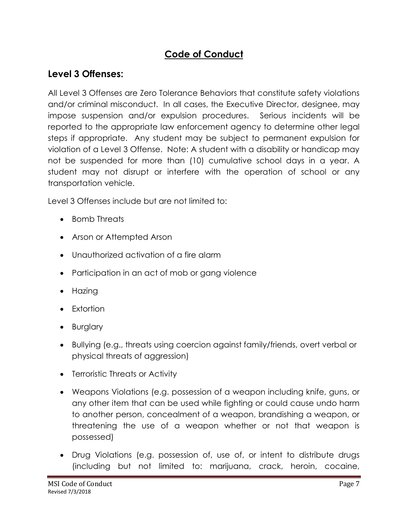# **Code of Conduct**

# **Level 3 Offenses:**

All Level 3 Offenses are Zero Tolerance Behaviors that constitute safety violations and/or criminal misconduct. In all cases, the Executive Director, designee, may impose suspension and/or expulsion procedures. Serious incidents will be reported to the appropriate law enforcement agency to determine other legal steps if appropriate. Any student may be subject to permanent expulsion for violation of a Level 3 Offense. Note: A student with a disability or handicap may not be suspended for more than (10) cumulative school days in a year. A student may not disrupt or interfere with the operation of school or any transportation vehicle.

Level 3 Offenses include but are not limited to:

- Bomb Threats
- Arson or Attempted Arson
- Unauthorized activation of a fire alarm
- Participation in an act of mob or gang violence
- Hazing
- Extortion
- Burglary
- Bullying (e.g., threats using coercion against family/friends, overt verbal or physical threats of aggression)
- Terroristic Threats or Activity
- Weapons Violations (e.g. possession of a weapon including knife, guns, or any other item that can be used while fighting or could cause undo harm to another person, concealment of a weapon, brandishing a weapon, or threatening the use of a weapon whether or not that weapon is possessed)
- Drug Violations (e.g. possession of, use of, or intent to distribute drugs (including but not limited to: marijuana, crack, heroin, cocaine,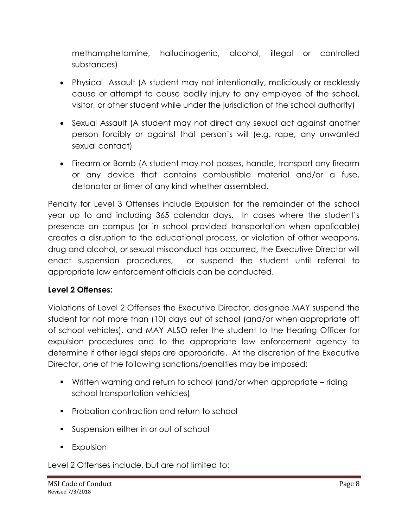methamphetamine, hallucinogenic, alcohol, illegal or controlled substances)

- Physical Assault (A student may not intentionally, maliciously or recklessly cause or attempt to cause bodily injury to any employee of the school, visitor, or other student while under the jurisdiction of the school authority)
- Sexual Assault (A student may not direct any sexual act against another person forcibly or against that person's will (e.g. rape, any unwanted sexual contact)
- Firearm or Bomb (A student may not posses, handle, transport any firearm or any device that contains combustible material and/or a fuse, detonator or timer of any kind whether assembled.

Penalty for Level 3 Offenses include Expulsion for the remainder of the school year up to and including 365 calendar days. In cases where the student's presence on campus (or in school provided transportation when applicable) creates a disruption to the educational process, or violation of other weapons, drug and alcohol, or sexual misconduct has occurred, the Executive Director will enact suspension procedures, or suspend the student until referral to appropriate law enforcement officials can be conducted.

#### **Level 2 Offenses:**

Violations of Level 2 Offenses the Executive Director, designee MAY suspend the student for not more than (10) days out of school (and/or when appropriate off of school vehicles), and MAY ALSO refer the student to the Hearing Officer for expulsion procedures and to the appropriate law enforcement agency to determine if other legal steps are appropriate. At the discretion of the Executive Director, one of the following sanctions/penalties may be imposed:

- Written warning and return to school (and/or when appropriate riding school transportation vehicles)
- **Probation contraction and return to school**
- Suspension either in or out of school
- **Expulsion**

Level 2 Offenses include, but are not limited to: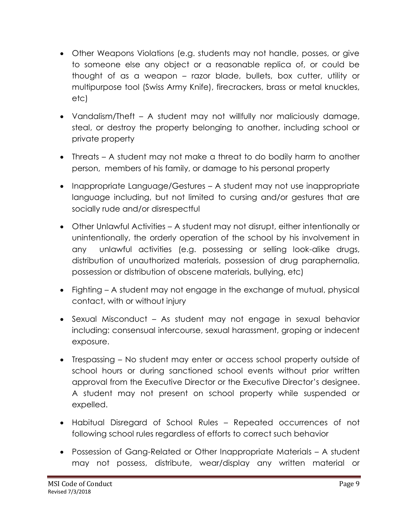- Other Weapons Violations (e.g. students may not handle, posses, or give to someone else any object or a reasonable replica of, or could be thought of as a weapon – razor blade, bullets, box cutter, utility or multipurpose tool (Swiss Army Knife), firecrackers, brass or metal knuckles, etc)
- Vandalism/Theft A student may not willfully nor maliciously damage, steal, or destroy the property belonging to another, including school or private property
- Threats A student may not make a threat to do bodily harm to another person, members of his family, or damage to his personal property
- Inappropriate Language/Gestures A student may not use inappropriate language including, but not limited to cursing and/or gestures that are socially rude and/or disrespectful
- Other Unlawful Activities A student may not disrupt, either intentionally or unintentionally, the orderly operation of the school by his involvement in any unlawful activities (e.g. possessing or selling look-alike drugs, distribution of unauthorized materials, possession of drug paraphernalia, possession or distribution of obscene materials, bullying, etc)
- Fighting A student may not engage in the exchange of mutual, physical contact, with or without injury
- Sexual Misconduct As student may not engage in sexual behavior including: consensual intercourse, sexual harassment, groping or indecent exposure.
- Trespassing No student may enter or access school property outside of school hours or during sanctioned school events without prior written approval from the Executive Director or the Executive Director's designee. A student may not present on school property while suspended or expelled.
- Habitual Disregard of School Rules Repeated occurrences of not following school rules regardless of efforts to correct such behavior
- Possession of Gang-Related or Other Inappropriate Materials A student may not possess, distribute, wear/display any written material or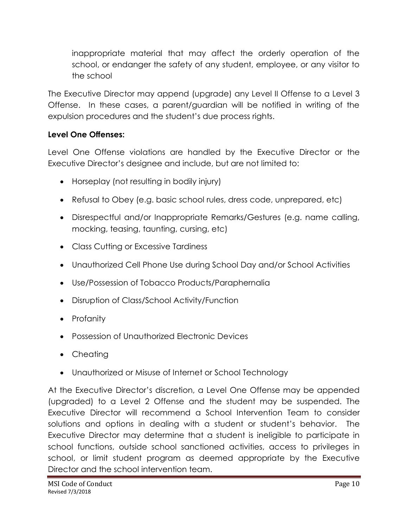inappropriate material that may affect the orderly operation of the school, or endanger the safety of any student, employee, or any visitor to the school

The Executive Director may append (upgrade) any Level II Offense to a Level 3 Offense. In these cases, a parent/guardian will be notified in writing of the expulsion procedures and the student's due process rights.

## **Level One Offenses:**

Level One Offense violations are handled by the Executive Director or the Executive Director's designee and include, but are not limited to:

- Horseplay (not resulting in bodily injury)
- Refusal to Obey (e.g. basic school rules, dress code, unprepared, etc)
- Disrespectful and/or Inappropriate Remarks/Gestures (e.g. name calling, mocking, teasing, taunting, cursing, etc)
- Class Cutting or Excessive Tardiness
- Unauthorized Cell Phone Use during School Day and/or School Activities
- Use/Possession of Tobacco Products/Paraphernalia
- Disruption of Class/School Activity/Function
- Profanity
- Possession of Unauthorized Electronic Devices
- Cheating
- Unauthorized or Misuse of Internet or School Technology

At the Executive Director's discretion, a Level One Offense may be appended (upgraded) to a Level 2 Offense and the student may be suspended. The Executive Director will recommend a School Intervention Team to consider solutions and options in dealing with a student or student's behavior. The Executive Director may determine that a student is ineligible to participate in school functions, outside school sanctioned activities, access to privileges in school, or limit student program as deemed appropriate by the Executive Director and the school intervention team.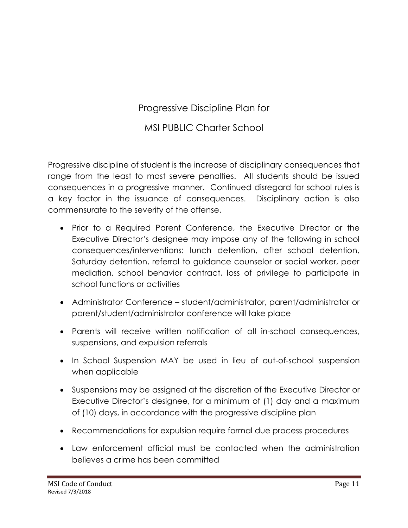# Progressive Discipline Plan for

## MSI PUBLIC Charter School

Progressive discipline of student is the increase of disciplinary consequences that range from the least to most severe penalties. All students should be issued consequences in a progressive manner. Continued disregard for school rules is a key factor in the issuance of consequences. Disciplinary action is also commensurate to the severity of the offense.

- Prior to a Required Parent Conference, the Executive Director or the Executive Director's designee may impose any of the following in school consequences/interventions: lunch detention, after school detention, Saturday detention, referral to guidance counselor or social worker, peer mediation, school behavior contract, loss of privilege to participate in school functions or activities
- Administrator Conference student/administrator, parent/administrator or parent/student/administrator conference will take place
- Parents will receive written notification of all in-school consequences, suspensions, and expulsion referrals
- In School Suspension MAY be used in lieu of out-of-school suspension when applicable
- Suspensions may be assigned at the discretion of the Executive Director or Executive Director's designee, for a minimum of (1) day and a maximum of (10) days, in accordance with the progressive discipline plan
- Recommendations for expulsion require formal due process procedures
- Law enforcement official must be contacted when the administration believes a crime has been committed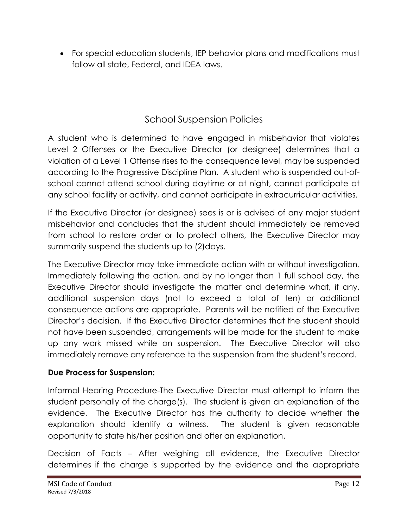For special education students, IEP behavior plans and modifications must follow all state, Federal, and IDEA laws.

# School Suspension Policies

A student who is determined to have engaged in misbehavior that violates Level 2 Offenses or the Executive Director (or designee) determines that a violation of a Level 1 Offense rises to the consequence level, may be suspended according to the Progressive Discipline Plan. A student who is suspended out-ofschool cannot attend school during daytime or at night, cannot participate at any school facility or activity, and cannot participate in extracurricular activities.

If the Executive Director (or designee) sees is or is advised of any major student misbehavior and concludes that the student should immediately be removed from school to restore order or to protect others, the Executive Director may summarily suspend the students up to (2) days.

The Executive Director may take immediate action with or without investigation. Immediately following the action, and by no longer than 1 full school day, the Executive Director should investigate the matter and determine what, if any, additional suspension days (not to exceed a total of ten) or additional consequence actions are appropriate. Parents will be notified of the Executive Director's decision. If the Executive Director determines that the student should not have been suspended, arrangements will be made for the student to make up any work missed while on suspension. The Executive Director will also immediately remove any reference to the suspension from the student's record.

#### **Due Process for Suspension:**

Informal Hearing Procedure-The Executive Director must attempt to inform the student personally of the charge(s). The student is given an explanation of the evidence. The Executive Director has the authority to decide whether the explanation should identify a witness. The student is given reasonable opportunity to state his/her position and offer an explanation.

Decision of Facts – After weighing all evidence, the Executive Director determines if the charge is supported by the evidence and the appropriate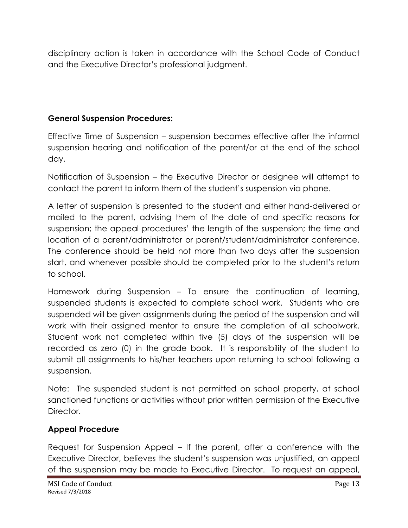disciplinary action is taken in accordance with the School Code of Conduct and the Executive Director's professional judgment.

## **General Suspension Procedures:**

Effective Time of Suspension – suspension becomes effective after the informal suspension hearing and notification of the parent/or at the end of the school day.

Notification of Suspension – the Executive Director or designee will attempt to contact the parent to inform them of the student's suspension via phone.

A letter of suspension is presented to the student and either hand-delivered or mailed to the parent, advising them of the date of and specific reasons for suspension; the appeal procedures' the length of the suspension; the time and location of a parent/administrator or parent/student/administrator conference. The conference should be held not more than two days after the suspension start, and whenever possible should be completed prior to the student's return to school.

Homework during Suspension – To ensure the continuation of learning, suspended students is expected to complete school work. Students who are suspended will be given assignments during the period of the suspension and will work with their assigned mentor to ensure the completion of all schoolwork. Student work not completed within five (5) days of the suspension will be recorded as zero (0) in the grade book. It is responsibility of the student to submit all assignments to his/her teachers upon returning to school following a suspension.

Note: The suspended student is not permitted on school property, at school sanctioned functions or activities without prior written permission of the Executive Director.

## **Appeal Procedure**

Request for Suspension Appeal – If the parent, after a conference with the Executive Director, believes the student's suspension was unjustified, an appeal of the suspension may be made to Executive Director. To request an appeal,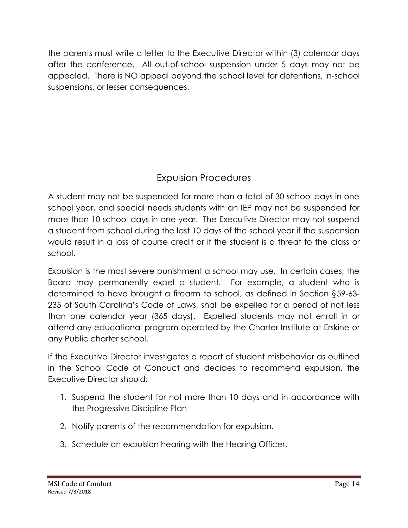the parents must write a letter to the Executive Director within (3) calendar days after the conference. All out-of-school suspension under 5 days may not be appealed. There is NO appeal beyond the school level for detentions, in-school suspensions, or lesser consequences.

# Expulsion Procedures

A student may not be suspended for more than a total of 30 school days in one school year, and special needs students with an IEP may not be suspended for more than 10 school days in one year. The Executive Director may not suspend a student from school during the last 10 days of the school year if the suspension would result in a loss of course credit or if the student is a threat to the class or school.

Expulsion is the most severe punishment a school may use. In certain cases, the Board may permanently expel a student. For example, a student who is determined to have brought a firearm to school, as defined in Section §59-63- 235 of South Carolina's Code of Laws, shall be expelled for a period of not less than one calendar year (365 days). Expelled students may not enroll in or attend any educational program operated by the Charter Institute at Erskine or any Public charter school.

If the Executive Director investigates a report of student misbehavior as outlined in the School Code of Conduct and decides to recommend expulsion, the Executive Director should:

- 1. Suspend the student for not more than 10 days and in accordance with the Progressive Discipline Plan
- 2. Notify parents of the recommendation for expulsion.
- 3. Schedule an expulsion hearing with the Hearing Officer.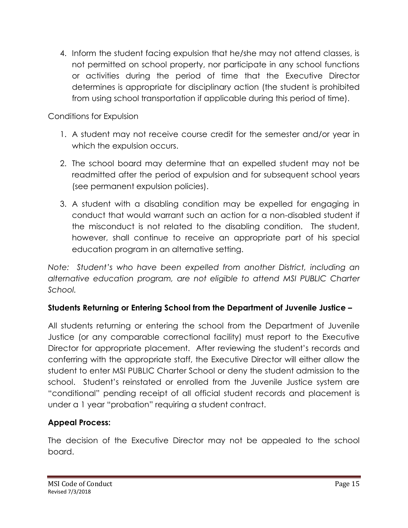4. Inform the student facing expulsion that he/she may not attend classes, is not permitted on school property, nor participate in any school functions or activities during the period of time that the Executive Director determines is appropriate for disciplinary action (the student is prohibited from using school transportation if applicable during this period of time).

Conditions for Expulsion

- 1. A student may not receive course credit for the semester and/or year in which the expulsion occurs.
- 2. The school board may determine that an expelled student may not be readmitted after the period of expulsion and for subsequent school years (see permanent expulsion policies).
- 3. A student with a disabling condition may be expelled for engaging in conduct that would warrant such an action for a non-disabled student if the misconduct is not related to the disabling condition. The student, however, shall continue to receive an appropriate part of his special education program in an alternative setting.

*Note: Student's who have been expelled from another District, including an alternative education program, are not eligible to attend MSI PUBLIC Charter School.*

## **Students Returning or Entering School from the Department of Juvenile Justice –**

All students returning or entering the school from the Department of Juvenile Justice (or any comparable correctional facility) must report to the Executive Director for appropriate placement. After reviewing the student's records and conferring with the appropriate staff, the Executive Director will either allow the student to enter MSI PUBLIC Charter School or deny the student admission to the school. Student's reinstated or enrolled from the Juvenile Justice system are "conditional" pending receipt of all official student records and placement is under a 1 year "probation" requiring a student contract.

## **Appeal Process:**

The decision of the Executive Director may not be appealed to the school board.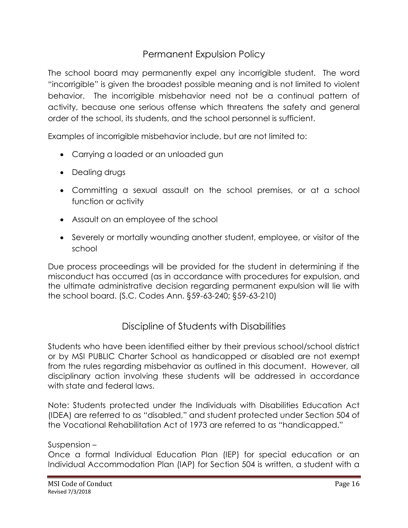# Permanent Expulsion Policy

The school board may permanently expel any incorrigible student. The word "incorrigible" is given the broadest possible meaning and is not limited to violent behavior. The incorrigible misbehavior need not be a continual pattern of activity, because one serious offense which threatens the safety and general order of the school, its students, and the school personnel is sufficient.

Examples of incorrigible misbehavior include, but are not limited to:

- Carrying a loaded or an unloaded gun
- Dealing drugs
- Committing a sexual assault on the school premises, or at a school function or activity
- Assault on an employee of the school
- Severely or mortally wounding another student, employee, or visitor of the school

Due process proceedings will be provided for the student in determining if the misconduct has occurred (as in accordance with procedures for expulsion, and the ultimate administrative decision regarding permanent expulsion will lie with the school board. (S.C. Codes Ann. §59-63-240; §59-63-210)

# Discipline of Students with Disabilities

Students who have been identified either by their previous school/school district or by MSI PUBLIC Charter School as handicapped or disabled are not exempt from the rules regarding misbehavior as outlined in this document. However, all disciplinary action involving these students will be addressed in accordance with state and federal laws.

Note: Students protected under the Individuals with Disabilities Education Act (IDEA) are referred to as "disabled," and student protected under Section 504 of the Vocational Rehabilitation Act of 1973 are referred to as "handicapped."

#### Suspension –

Once a formal Individual Education Plan (IEP) for special education or an Individual Accommodation Plan (IAP) for Section 504 is written, a student with a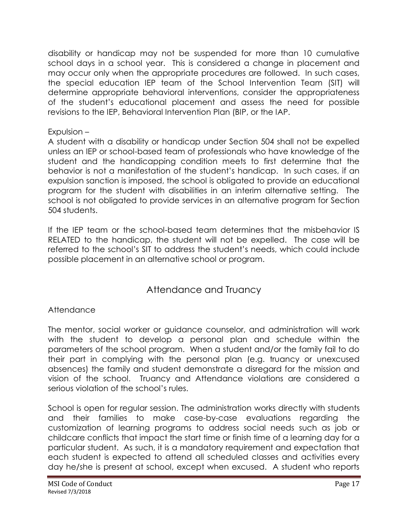disability or handicap may not be suspended for more than 10 cumulative school days in a school year. This is considered a change in placement and may occur only when the appropriate procedures are followed. In such cases, the special education IEP team of the School Intervention Team (SIT) will determine appropriate behavioral interventions, consider the appropriateness of the student's educational placement and assess the need for possible revisions to the IEP, Behavioral Intervention Plan (BIP, or the IAP.

#### Expulsion –

A student with a disability or handicap under Section 504 shall not be expelled unless an IEP or school-based team of professionals who have knowledge of the student and the handicapping condition meets to first determine that the behavior is not a manifestation of the student's handicap. In such cases, if an expulsion sanction is imposed, the school is obligated to provide an educational program for the student with disabilities in an interim alternative setting. The school is not obligated to provide services in an alternative program for Section 504 students.

If the IEP team or the school-based team determines that the misbehavior IS RELATED to the handicap, the student will not be expelled. The case will be referred to the school's SIT to address the student's needs, which could include possible placement in an alternative school or program.

# Attendance and Truancy

## Attendance

The mentor, social worker or guidance counselor, and administration will work with the student to develop a personal plan and schedule within the parameters of the school program. When a student and/or the family fail to do their part in complying with the personal plan (e.g. truancy or unexcused absences) the family and student demonstrate a disregard for the mission and vision of the school. Truancy and Attendance violations are considered a serious violation of the school's rules.

School is open for regular session. The administration works directly with students and their families to make case-by-case evaluations regarding the customization of learning programs to address social needs such as job or childcare conflicts that impact the start time or finish time of a learning day for a particular student. As such, it is a mandatory requirement and expectation that each student is expected to attend all scheduled classes and activities every day he/she is present at school, except when excused. A student who reports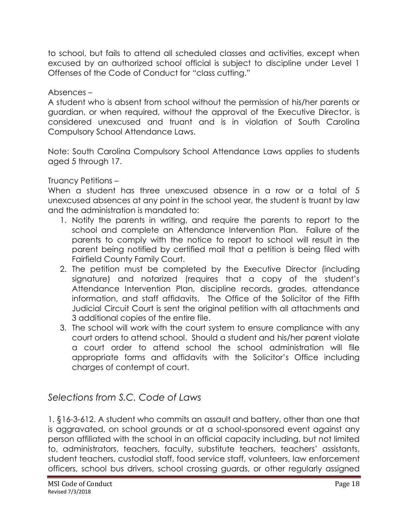to school, but fails to attend all scheduled classes and activities, except when excused by an authorized school official is subject to discipline under Level 1 Offenses of the Code of Conduct for "class cutting."

#### Absences –

A student who is absent from school without the permission of his/her parents or guardian, or when required, without the approval of the Executive Director, is considered unexcused and truant and is in violation of South Carolina Compulsory School Attendance Laws.

Note: South Carolina Compulsory School Attendance Laws applies to students aged 5 through 17.

## Truancy Petitions –

When a student has three unexcused absence in a row or a total of 5 unexcused absences at any point in the school year, the student is truant by law and the administration is mandated to:

- 1. Notify the parents in writing, and require the parents to report to the school and complete an Attendance Intervention Plan. Failure of the parents to comply with the notice to report to school will result in the parent being notified by certified mail that a petition is being filed with Fairfield County Family Court.
- 2. The petition must be completed by the Executive Director (including signature) and notarized (requires that a copy of the student's Attendance Intervention Plan, discipline records, grades, attendance information, and staff affidavits. The Office of the Solicitor of the Fifth Judicial Circuit Court is sent the original petition with all attachments and 3 additional copies of the entire file.
- 3. The school will work with the court system to ensure compliance with any court orders to attend school. Should a student and his/her parent violate a court order to attend school the school administration will file appropriate forms and affidavits with the Solicitor's Office including charges of contempt of court.

# *Selections from S.C. Code of Laws*

1. §16-3-612. A student who commits an assault and battery, other than one that is aggravated, on school grounds or at a school-sponsored event against any person affiliated with the school in an official capacity including, but not limited to, administrators, teachers, faculty, substitute teachers, teachers' assistants, student teachers, custodial staff, food service staff, volunteers, law enforcement officers, school bus drivers, school crossing guards, or other regularly assigned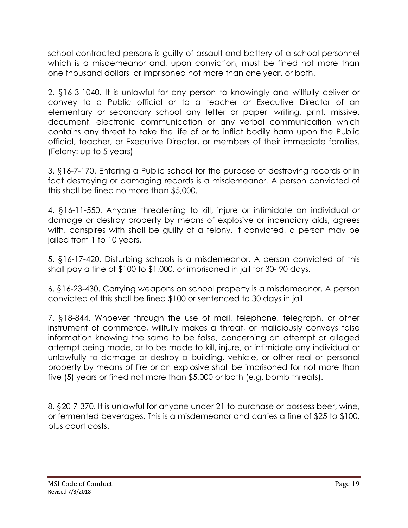school-contracted persons is guilty of assault and battery of a school personnel which is a misdemeanor and, upon conviction, must be fined not more than one thousand dollars, or imprisoned not more than one year, or both.

2. §16-3-1040. It is unlawful for any person to knowingly and willfully deliver or convey to a Public official or to a teacher or Executive Director of an elementary or secondary school any letter or paper, writing, print, missive, document, electronic communication or any verbal communication which contains any threat to take the life of or to inflict bodily harm upon the Public official, teacher, or Executive Director, or members of their immediate families. (Felony: up to 5 years)

3. §16-7-170. Entering a Public school for the purpose of destroying records or in fact destroying or damaging records is a misdemeanor. A person convicted of this shall be fined no more than \$5,000.

4. §16-11-550. Anyone threatening to kill, injure or intimidate an individual or damage or destroy property by means of explosive or incendiary aids, agrees with, conspires with shall be guilty of a felony. If convicted, a person may be jailed from 1 to 10 years.

5. §16-17-420. Disturbing schools is a misdemeanor. A person convicted of this shall pay a fine of \$100 to \$1,000, or imprisoned in jail for 30- 90 days.

6. §16-23-430. Carrying weapons on school property is a misdemeanor. A person convicted of this shall be fined \$100 or sentenced to 30 days in jail.

7. §18-844. Whoever through the use of mail, telephone, telegraph, or other instrument of commerce, willfully makes a threat, or maliciously conveys false information knowing the same to be false, concerning an attempt or alleged attempt being made, or to be made to kill, injure, or intimidate any individual or unlawfully to damage or destroy a building, vehicle, or other real or personal property by means of fire or an explosive shall be imprisoned for not more than five (5) years or fined not more than \$5,000 or both (e.g. bomb threats).

8. §20-7-370. It is unlawful for anyone under 21 to purchase or possess beer, wine, or fermented beverages. This is a misdemeanor and carries a fine of \$25 to \$100, plus court costs.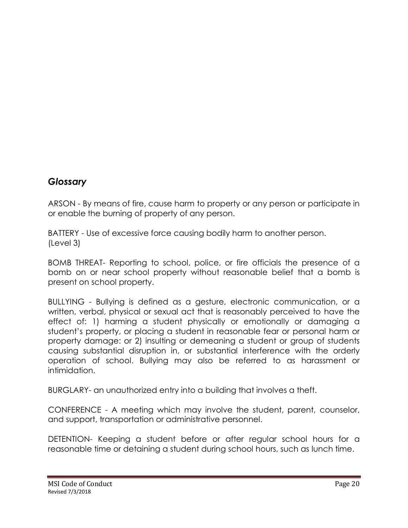## *Glossary*

ARSON - By means of fire, cause harm to property or any person or participate in or enable the burning of property of any person.

BATTERY - Use of excessive force causing bodily harm to another person. (Level 3)

BOMB THREAT- Reporting to school, police, or fire officials the presence of a bomb on or near school property without reasonable belief that a bomb is present on school property.

BULLYING - Bullying is defined as a gesture, electronic communication, or a written, verbal, physical or sexual act that is reasonably perceived to have the effect of: 1) harming a student physically or emotionally or damaging a student's property, or placing a student in reasonable fear or personal harm or property damage: or 2) insulting or demeaning a student or group of students causing substantial disruption in, or substantial interference with the orderly operation of school. Bullying may also be referred to as harassment or intimidation.

BURGLARY- an unauthorized entry into a building that involves a theft.

CONFERENCE - A meeting which may involve the student, parent, counselor, and support, transportation or administrative personnel.

DETENTION- Keeping a student before or after regular school hours for a reasonable time or detaining a student during school hours, such as lunch time.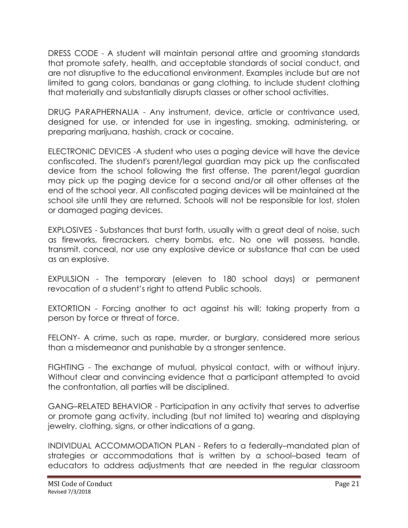DRESS CODE - A student will maintain personal attire and grooming standards that promote safety, health, and acceptable standards of social conduct, and are not disruptive to the educational environment. Examples include but are not limited to gang colors, bandanas or gang clothing, to include student clothing that materially and substantially disrupts classes or other school activities.

DRUG PARAPHERNALIA - Any instrument, device, article or contrivance used, designed for use, or intended for use in ingesting, smoking, administering, or preparing marijuana, hashish, crack or cocaine.

ELECTRONIC DEVICES -A student who uses a paging device will have the device confiscated. The student's parent/legal guardian may pick up the confiscated device from the school following the first offense. The parent/legal guardian may pick up the paging device for a second and/or all other offenses at the end of the school year. All confiscated paging devices will be maintained at the school site until they are returned. Schools will not be responsible for lost, stolen or damaged paging devices.

EXPLOSIVES - Substances that burst forth, usually with a great deal of noise, such as fireworks, firecrackers, cherry bombs, etc. No one will possess, handle, transmit, conceal, nor use any explosive device or substance that can be used as an explosive.

EXPULSION - The temporary (eleven to 180 school days) or permanent revocation of a student's right to attend Public schools.

EXTORTION - Forcing another to act against his will; taking property from a person by force or threat of force.

FELONY- A crime, such as rape, murder, or burglary, considered more serious than a misdemeanor and punishable by a stronger sentence.

FIGHTING - The exchange of mutual, physical contact, with or without injury. Without clear and convincing evidence that a participant attempted to avoid the confrontation, all parties will be disciplined.

GANG–RELATED BEHAVIOR - Participation in any activity that serves to advertise or promote gang activity, including (but not limited to) wearing and displaying jewelry, clothing, signs, or other indications of a gang.

INDIVIDUAL ACCOMMODATION PLAN - Refers to a federally–mandated plan of strategies or accommodations that is written by a school–based team of educators to address adjustments that are needed in the regular classroom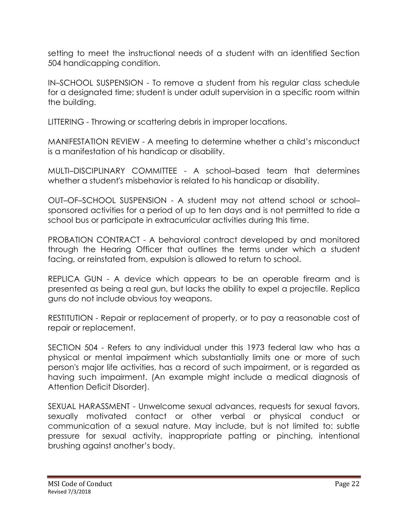setting to meet the instructional needs of a student with an identified Section 504 handicapping condition.

IN–SCHOOL SUSPENSION - To remove a student from his regular class schedule for a designated time; student is under adult supervision in a specific room within the building.

LITTERING - Throwing or scattering debris in improper locations.

MANIFESTATION REVIEW - A meeting to determine whether a child's misconduct is a manifestation of his handicap or disability.

MULTI–DISCIPLINARY COMMITTEE - A school–based team that determines whether a student's misbehavior is related to his handicap or disability.

OUT–OF–SCHOOL SUSPENSION - A student may not attend school or school– sponsored activities for a period of up to ten days and is not permitted to ride a school bus or participate in extracurricular activities during this time.

PROBATION CONTRACT - A behavioral contract developed by and monitored through the Hearing Officer that outlines the terms under which a student facing, or reinstated from, expulsion is allowed to return to school.

REPLICA GUN - A device which appears to be an operable firearm and is presented as being a real gun, but lacks the ability to expel a projectile. Replica guns do not include obvious toy weapons.

RESTITUTION - Repair or replacement of property, or to pay a reasonable cost of repair or replacement.

SECTION 504 - Refers to any individual under this 1973 federal law who has a physical or mental impairment which substantially limits one or more of such person's major life activities, has a record of such impairment, or is regarded as having such impairment. (An example might include a medical diagnosis of Attention Deficit Disorder).

SEXUAL HARASSMENT - Unwelcome sexual advances, requests for sexual favors, sexually motivated contact or other verbal or physical conduct or communication of a sexual nature. May include, but is not limited to: subtle pressure for sexual activity, inappropriate patting or pinching, intentional brushing against another's body.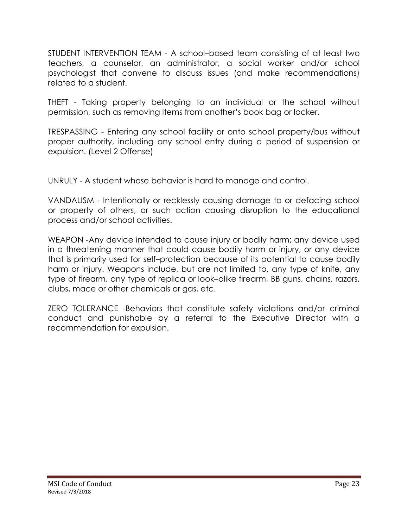STUDENT INTERVENTION TEAM - A school–based team consisting of at least two teachers, a counselor, an administrator, a social worker and/or school psychologist that convene to discuss issues (and make recommendations) related to a student.

THEFT - Taking property belonging to an individual or the school without permission, such as removing items from another's book bag or locker.

TRESPASSING - Entering any school facility or onto school property/bus without proper authority, including any school entry during a period of suspension or expulsion. (Level 2 Offense)

UNRULY - A student whose behavior is hard to manage and control.

VANDALISM - Intentionally or recklessly causing damage to or defacing school or property of others, or such action causing disruption to the educational process and/or school activities.

WEAPON -Any device intended to cause injury or bodily harm; any device used in a threatening manner that could cause bodily harm or injury, or any device that is primarily used for self–protection because of its potential to cause bodily harm or injury. Weapons include, but are not limited to, any type of knife, any type of firearm, any type of replica or look–alike firearm, BB guns, chains, razors, clubs, mace or other chemicals or gas, etc.

ZERO TOLERANCE -Behaviors that constitute safety violations and/or criminal conduct and punishable by a referral to the Executive Director with a recommendation for expulsion.